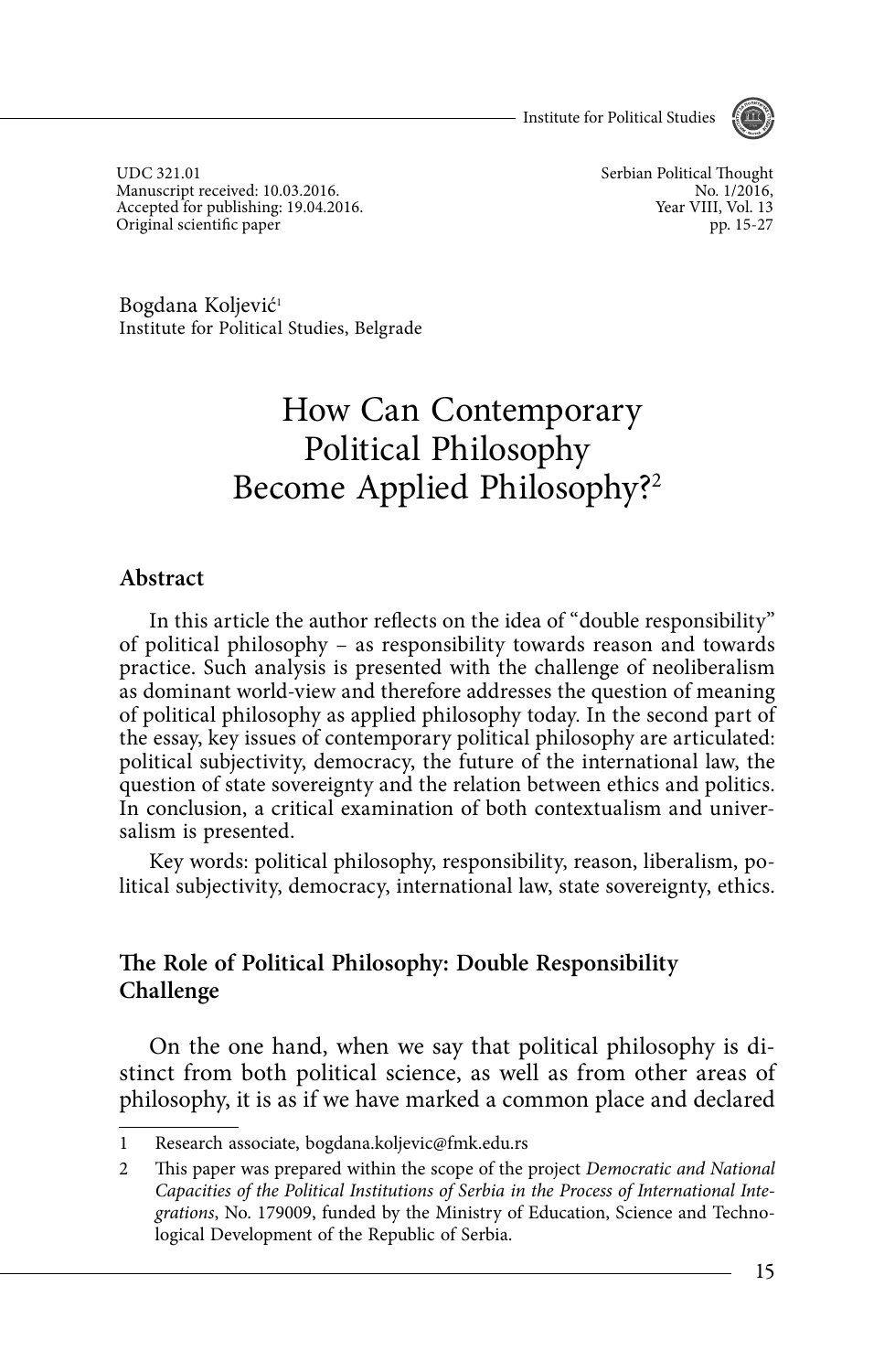Institute for Political Studies



UDC 321.01 Manuscript received: 10.03.2016. Accepted for publishing: 19.04.2016. Original scientific paper

Serbian Political Thought No. 1/2016, Year VIII, Vol. 13 pp. 15-27

Bogdana Koljević<sup>1</sup> Institute for Political Studies, Belgrade

# How Can Contemporary Political Philosophy Become Applied Philosophy?2

#### **Abstract**

In this article the author reflects on the idea of "double responsibility" of political philosophy – as responsibility towards reason and towards practice. Such analysis is presented with the challenge of neoliberalism as dominant world-view and therefore addresses the question of meaning of political philosophy as applied philosophy today. In the second part of the essay, key issues of contemporary political philosophy are articulated: political subjectivity, democracy, the future of the international law, the question of state sovereignty and the relation between ethics and politics. In conclusion, a critical examination of both contextualism and universalism is presented.

Key words: political philosophy, responsibility, reason, liberalism, political subjectivity, democracy, international law, state sovereignty, ethics.

#### **The Role of Political Philosophy: Double Responsibility Challenge**

On the one hand, when we say that political philosophy is distinct from both political science, as well as from other areas of philosophy, it is as if we have marked a common place and declared

<sup>1</sup> Research associate, bogdana.koljevic@fmk.edu.rs

<sup>2</sup> This paper was prepared within the scope of the project Democratic and National Capacities of the Political Institutions of Serbia in the Process of International Integrations, No. 179009, funded by the Ministry of Education, Science and Technological Development of the Republic of Serbia.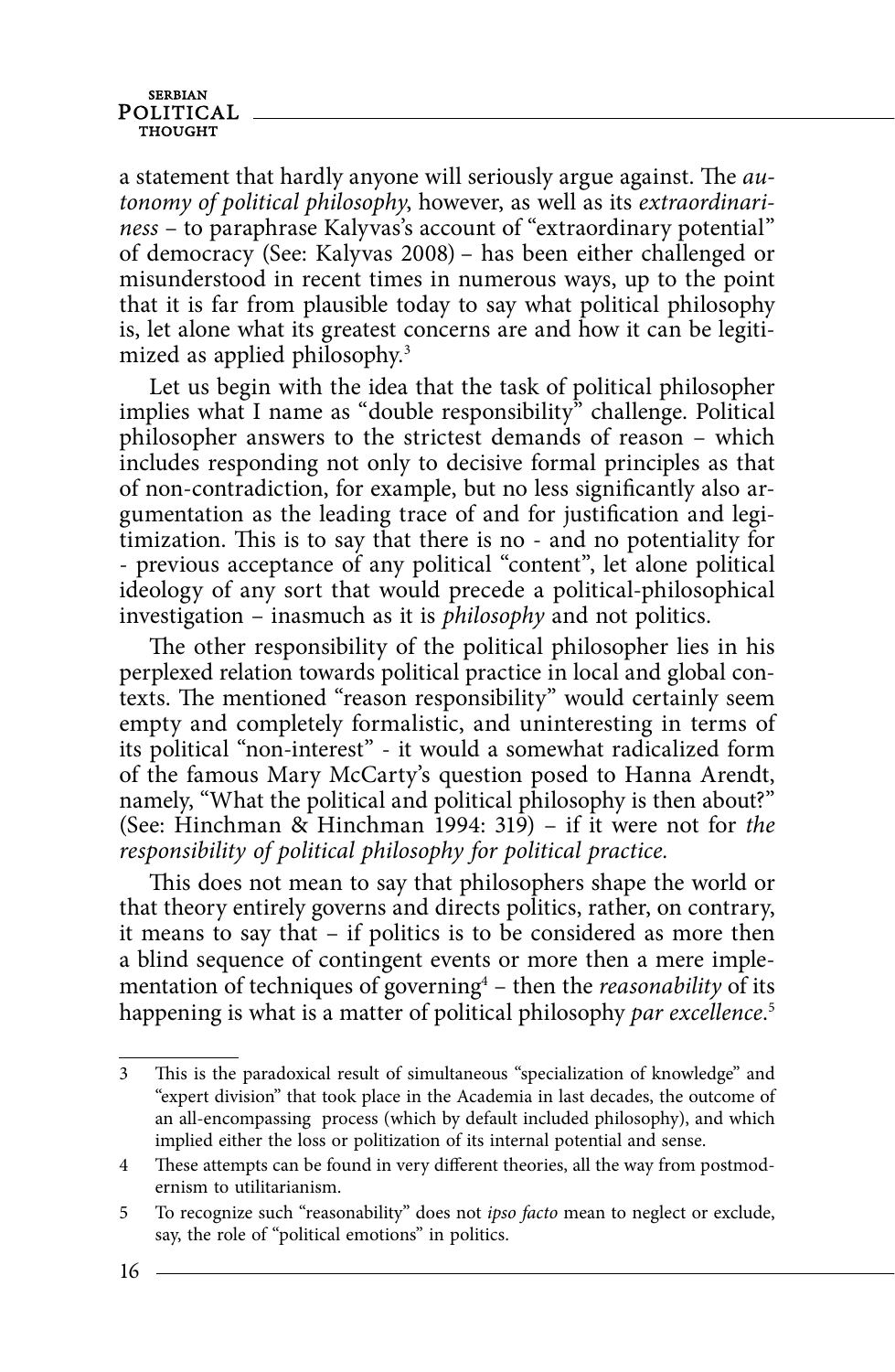a statement that hardly anyone will seriously argue against. The  $au$ tonomy of political philosophy, however, as well as its extraordinariness – to paraphrase Kalyvas's account of "extraordinary potential" of democracy (See: Kalyvas 2008) – has been either challenged or misunderstood in recent times in numerous ways, up to the point that it is far from plausible today to say what political philosophy is, let alone what its greatest concerns are and how it can be legitimized as applied philosophy.<sup>3</sup>

Let us begin with the idea that the task of political philosopher implies what I name as "double responsibility" challenge. Political philosopher answers to the strictest demands of reason – which includes responding not only to decisive formal principles as that of non-contradiction, for example, but no less significantly also argumentation as the leading trace of and for justification and legitimization. This is to say that there is no - and no potentiality for - previous acceptance of any political "content", let alone political ideology of any sort that would precede a political-philosophical investigation – inasmuch as it is philosophy and not politics.

The other responsibility of the political philosopher lies in his perplexed relation towards political practice in local and global contexts. The mentioned "reason responsibility" would certainly seem empty and completely formalistic, and uninteresting in terms of its political "non-interest" - it would a somewhat radicalized form of the famous Mary McCarty's question posed to Hanna Arendt, namely, "What the political and political philosophy is then about?" (See: Hinchman & Hinchman 1994: 319) – if it were not for the responsibility of political philosophy for political practice.

This does not mean to say that philosophers shape the world or that theory entirely governs and directs politics, rather, on contrary, it means to say that – if politics is to be considered as more then a blind sequence of contingent events or more then a mere implementation of techniques of governing $4$  – then the *reasonability* of its happening is what is a matter of political philosophy par excellence.<sup>5</sup>

<sup>3</sup> This is the paradoxical result of simultaneous "specialization of knowledge" and "expert division" that took place in the Academia in last decades, the outcome of an all-encompassing process (which by default included philosophy), and which implied either the loss or politization of its internal potential and sense.

<sup>4</sup> These attempts can be found in very different theories, all the way from postmodernism to utilitarianism.

<sup>5</sup> To recognize such "reasonability" does not ipso facto mean to neglect or exclude, say, the role of "political emotions" in politics.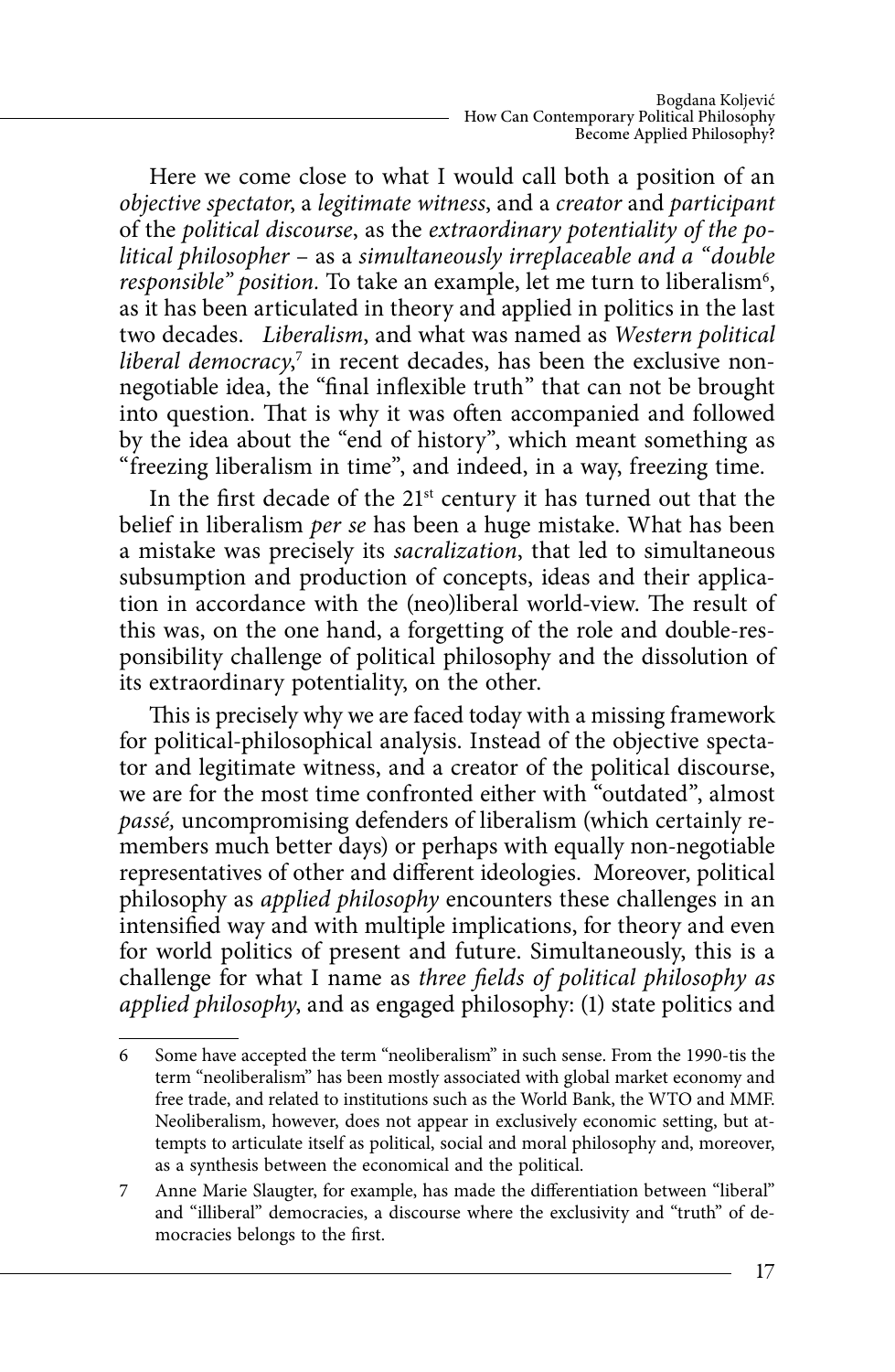Here we come close to what I would call both a position of an objective spectator, a legitimate witness, and a creator and participant of the political discourse, as the extraordinary potentiality of the political philosopher – as a simultaneously irreplaceable and a "double responsible" position. To take an example, let me turn to liberalism<sup>6</sup>, as it has been articulated in theory and applied in politics in the last two decades. Liberalism, and what was named as Western political liberal democracy,<sup>7</sup> in recent decades, has been the exclusive nonnegotiable idea, the "final inflexible truth" that can not be brought into question. That is why it was often accompanied and followed by the idea about the "end of history", which meant something as "freezing liberalism in time", and indeed, in a way, freezing time.

In the first decade of the 21<sup>st</sup> century it has turned out that the belief in liberalism per se has been a huge mistake. What has been a mistake was precisely its *sacralization*, that led to simultaneous subsumption and production of concepts, ideas and their application in accordance with the (neo)liberal world-view. The result of this was, on the one hand, a forgetting of the role and double-responsibility challenge of political philosophy and the dissolution of its extraordinary potentiality, on the other.

This is precisely why we are faced today with a missing framework for political-philosophical analysis. Instead of the objective spectator and legitimate witness, and a creator of the political discourse, we are for the most time confronted either with "outdated", almost passé, uncompromising defenders of liberalism (which certainly remembers much better days) or perhaps with equally non-negotiable representatives of other and different ideologies. Moreover, political philosophy as *applied philosophy* encounters these challenges in an intensified way and with multiple implications, for theory and even for world politics of present and future. Simultaneously, this is a challenge for what I name as three fields of political philosophy as applied philosophy, and as engaged philosophy: (1) state politics and

<sup>6</sup> Some have accepted the term "neoliberalism" in such sense. From the 1990-tis the term "neoliberalism" has been mostly associated with global market economy and free trade, and related to institutions such as the World Bank, the WTO and MMF. Neoliberalism, however, does not appear in exclusively economic setting, but attempts to articulate itself as political, social and moral philosophy and, moreover, as a synthesis between the economical and the political.

<sup>7</sup> Anne Marie Slaugter, for example, has made the differentiation between "liberal" and "illiberal" democracies, a discourse where the exclusivity and "truth" of democracies belongs to the first.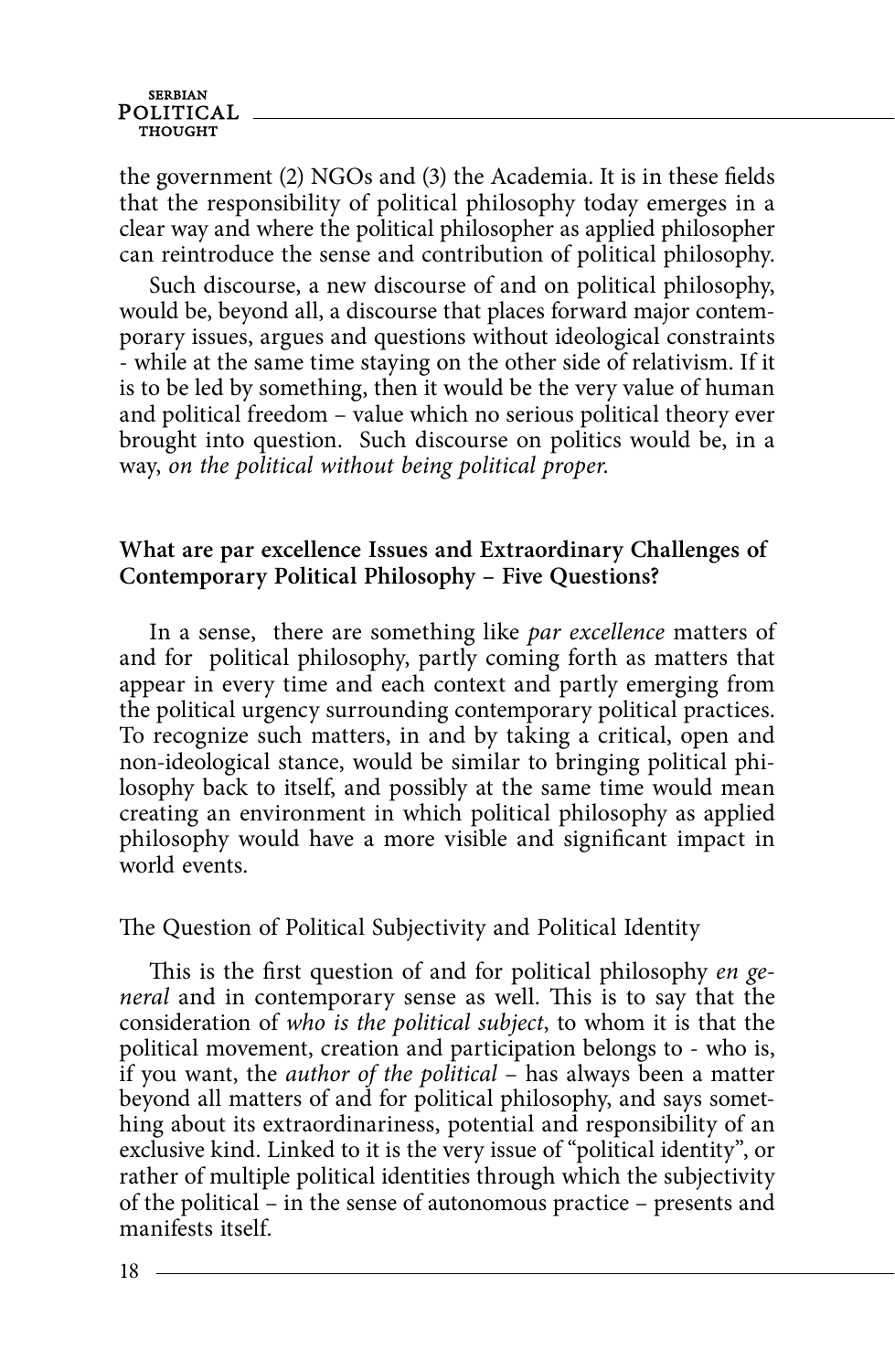the government (2) NGOs and (3) the Academia. It is in these fields that the responsibility of political philosophy today emerges in a clear way and where the political philosopher as applied philosopher can reintroduce the sense and contribution of political philosophy.

Such discourse, a new discourse of and on political philosophy, would be, beyond all, a discourse that places forward major contemporary issues, argues and questions without ideological constraints - while at the same time staying on the other side of relativism. If it is to be led by something, then it would be the very value of human and political freedom – value which no serious political theory ever brought into question. Such discourse on politics would be, in a way, on the political without being political proper.

#### **What are par excellence Issues and Extraordinary Challenges of Contemporary Political Philosophy – Five Questions?**

In a sense, there are something like *par excellence* matters of and for political philosophy, partly coming forth as matters that appear in every time and each context and partly emerging from the political urgency surrounding contemporary political practices. To recognize such matters, in and by taking a critical, open and non-ideological stance, would be similar to bringing political philosophy back to itself, and possibly at the same time would mean creating an environment in which political philosophy as applied philosophy would have a more visible and significant impact in world events.

The Question of Political Subjectivity and Political Identity

This is the first question of and for political philosophy en general and in contemporary sense as well. This is to say that the consideration of who is the political subject, to whom it is that the political movement, creation and participation belongs to - who is, if you want, the author of the political – has always been a matter beyond all matters of and for political philosophy, and says something about its extraordinariness, potential and responsibility of an exclusive kind. Linked to it is the very issue of "political identity", or rather of multiple political identities through which the subjectivity of the political – in the sense of autonomous practice – presents and manifests itself.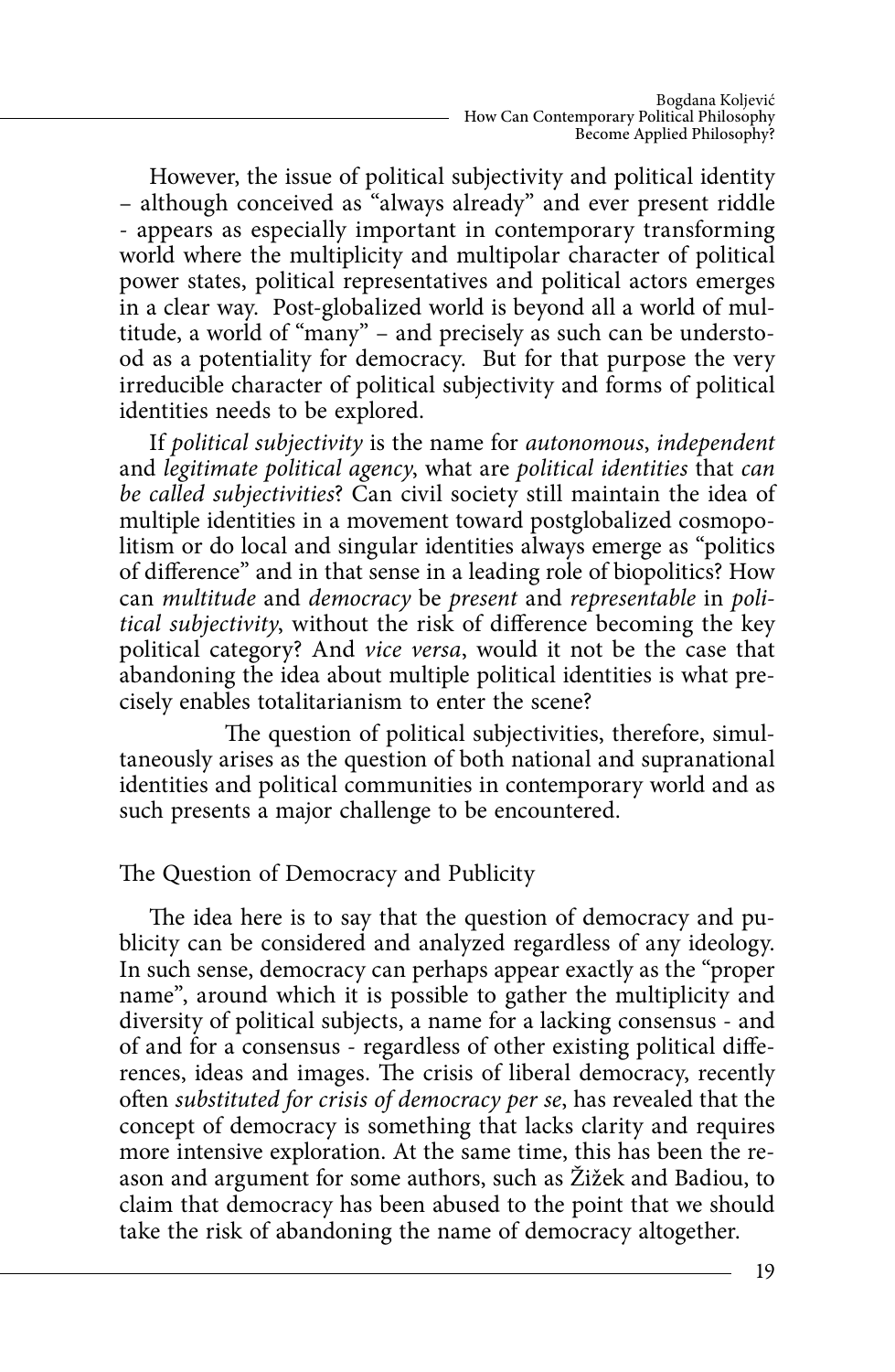However, the issue of political subjectivity and political identity – although conceived as "always already" and ever present riddle - appears as especially important in contemporary transforming world where the multiplicity and multipolar character of political power states, political representatives and political actors emerges in a clear way. Post-globalized world is beyond all a world of multitude, a world of "many" – and precisely as such can be understood as a potentiality for democracy. But for that purpose the very irreducible character of political subjectivity and forms of political identities needs to be explored.

If political subjectivity is the name for autonomous, independent and legitimate political agency, what are political identities that can be called subjectivities? Can civil society still maintain the idea of multiple identities in a movement toward postglobalized cosmopolitism or do local and singular identities always emerge as "politics of difference" and in that sense in a leading role of biopolitics? How can multitude and democracy be present and representable in political subjectivity, without the risk of difference becoming the key political category? And vice versa, would it not be the case that abandoning the idea about multiple political identities is what precisely enables totalitarianism to enter the scene?

The question of political subjectivities, therefore, simultaneously arises as the question of both national and supranational identities and political communities in contemporary world and as such presents a major challenge to be encountered.

### The Question of Democracy and Publicity

The idea here is to say that the question of democracy and publicity can be considered and analyzed regardless of any ideology. In such sense, democracy can perhaps appear exactly as the "proper name", around which it is possible to gather the multiplicity and diversity of political subjects, a name for a lacking consensus - and of and for a consensus - regardless of other existing political differences, ideas and images. The crisis of liberal democracy, recently often substituted for crisis of democracy per se, has revealed that the concept of democracy is something that lacks clarity and requires more intensive exploration. At the same time, this has been the reason and argument for some authors, such as Žižek and Badiou, to claim that democracy has been abused to the point that we should take the risk of abandoning the name of democracy altogether.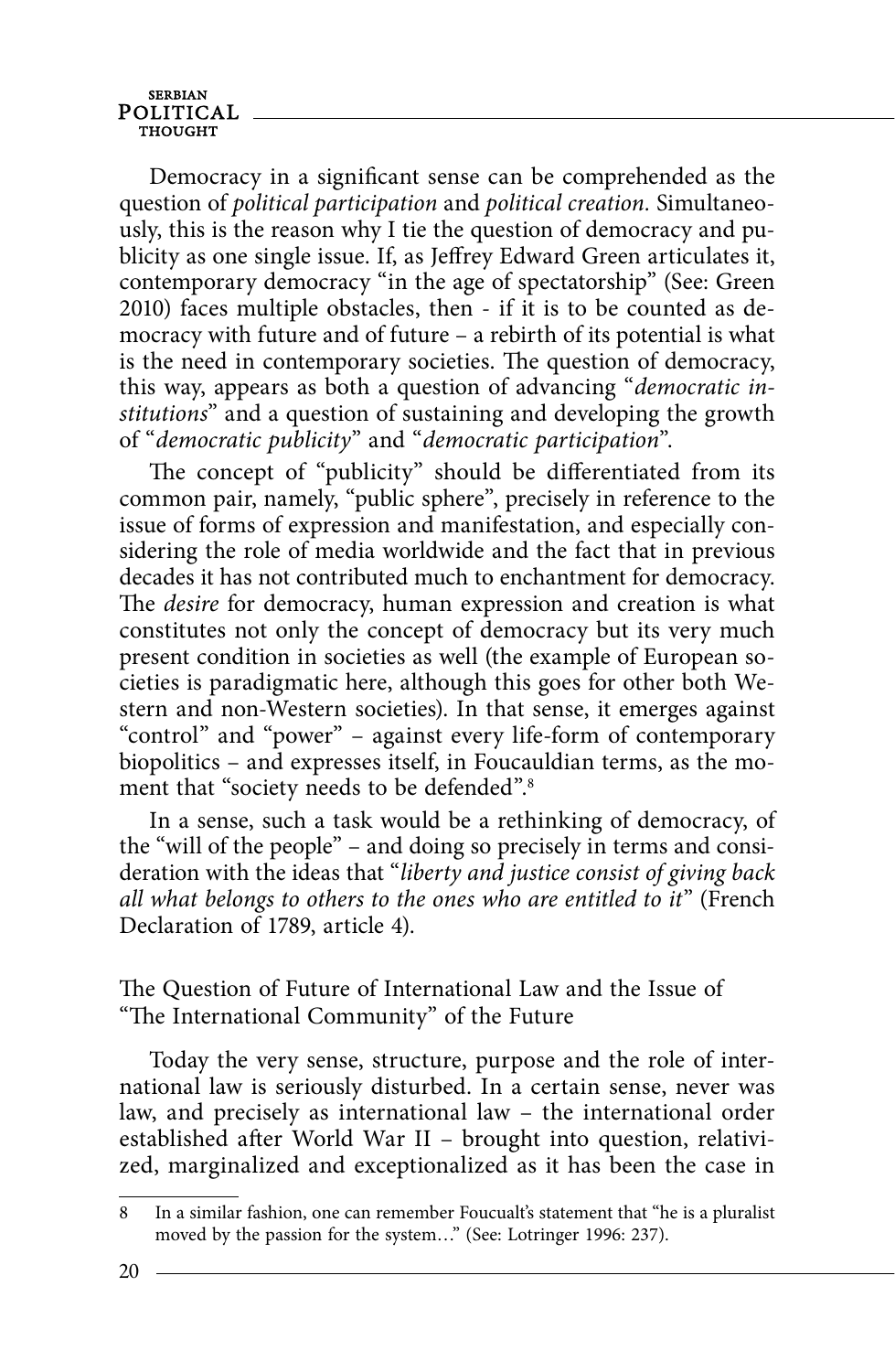Democracy in a significant sense can be comprehended as the question of political participation and political creation. Simultaneously, this is the reason why I tie the question of democracy and publicity as one single issue. If, as Jeffrey Edward Green articulates it, contemporary democracy "in the age of spectatorship" (See: Green 2010) faces multiple obstacles, then - if it is to be counted as democracy with future and of future – a rebirth of its potential is what is the need in contemporary societies. The question of democracy, this way, appears as both a question of advancing "democratic institutions" and a question of sustaining and developing the growth of "democratic publicity" and "democratic participation".

The concept of "publicity" should be differentiated from its common pair, namely, "public sphere", precisely in reference to the issue of forms of expression and manifestation, and especially considering the role of media worldwide and the fact that in previous decades it has not contributed much to enchantment for democracy. The *desire* for democracy, human expression and creation is what constitutes not only the concept of democracy but its very much present condition in societies as well (the example of European societies is paradigmatic here, although this goes for other both Western and non-Western societies). In that sense, it emerges against "control" and "power" – against every life-form of contemporary biopolitics – and expresses itself, in Foucauldian terms, as the moment that "society needs to be defended".8

In a sense, such a task would be a rethinking of democracy, of the "will of the people" – and doing so precisely in terms and consideration with the ideas that "liberty and justice consist of giving back all what belongs to others to the ones who are entitled to it" (French Declaration of 1789, article 4).

The Question of Future of International Law and the Issue of "The International Community" of the Future

Today the very sense, structure, purpose and the role of international law is seriously disturbed. In a certain sense, never was law, and precisely as international law – the international order established after World War II - brought into question, relativized, marginalized and exceptionalized as it has been the case in

<sup>8</sup> In a similar fashion, one can remember Foucualt's statement that "he is a pluralist moved by the passion for the system…" (See: Lotringer 1996: 237).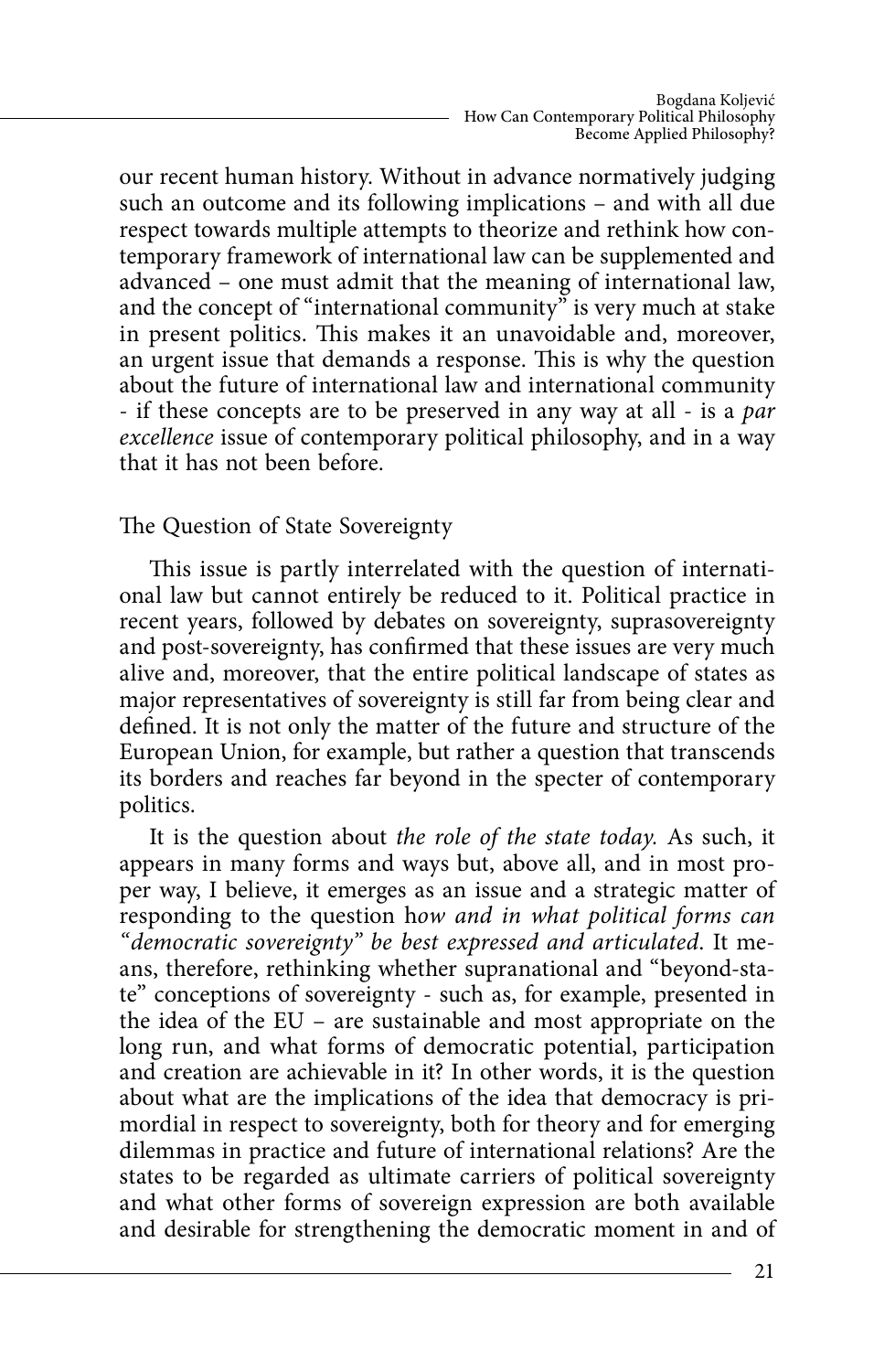our recent human history. Without in advance normatively judging such an outcome and its following implications – and with all due respect towards multiple attempts to theorize and rethink how contemporary framework of international law can be supplemented and advanced – one must admit that the meaning of international law, and the concept of "international community" is very much at stake in present politics. This makes it an unavoidable and, moreover, an urgent issue that demands a response. This is why the question about the future of international law and international community - if these concepts are to be preserved in any way at all - is a par excellence issue of contemporary political philosophy, and in a way that it has not been before.

The Question of State Sovereignty

This issue is partly interrelated with the question of international law but cannot entirely be reduced to it. Political practice in recent years, followed by debates on sovereignty, suprasovereignty and post-sovereignty, has confirmed that these issues are very much alive and, moreover, that the entire political landscape of states as major representatives of sovereignty is still far from being clear and defined. It is not only the matter of the future and structure of the European Union, for example, but rather a question that transcends its borders and reaches far beyond in the specter of contemporary politics.

It is the question about the role of the state today. As such, it appears in many forms and ways but, above all, and in most proper way, I believe, it emerges as an issue and a strategic matter of responding to the question how and in what political forms can "democratic sovereignty" be best expressed and articulated. It means, therefore, rethinking whether supranational and "beyond-state" conceptions of sovereignty - such as, for example, presented in the idea of the EU – are sustainable and most appropriate on the long run, and what forms of democratic potential, participation and creation are achievable in it? In other words, it is the question about what are the implications of the idea that democracy is primordial in respect to sovereignty, both for theory and for emerging dilemmas in practice and future of international relations? Are the states to be regarded as ultimate carriers of political sovereignty and what other forms of sovereign expression are both available and desirable for strengthening the democratic moment in and of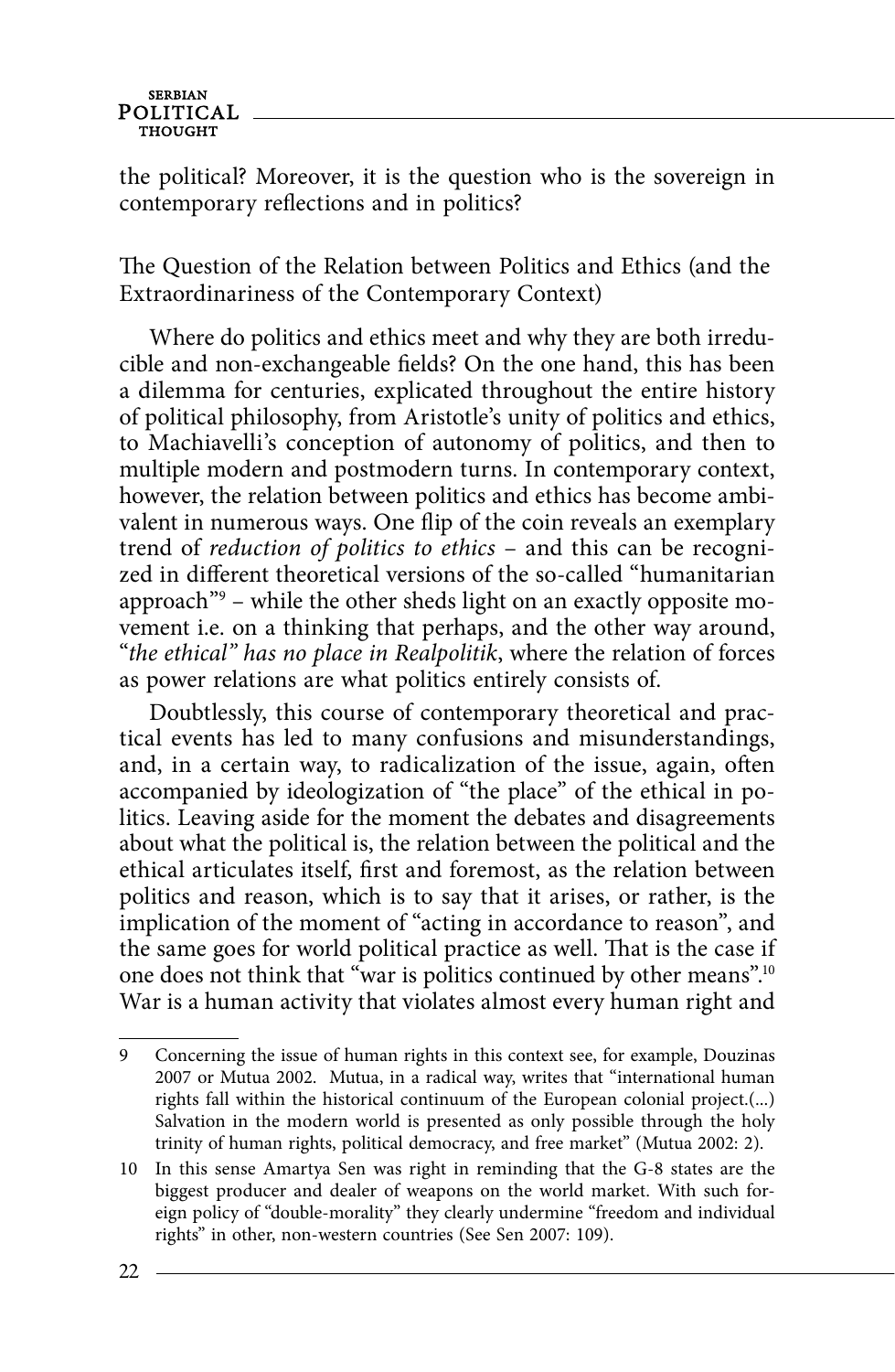the political? Moreover, it is the question who is the sovereign in contemporary reflections and in politics?

The Question of the Relation between Politics and Ethics (and the Extraordinariness of the Contemporary Context)

Where do politics and ethics meet and why they are both irreducible and non-exchangeable fields? On the one hand, this has been a dilemma for centuries, explicated throughout the entire history of political philosophy, from Aristotle's unity of politics and ethics, to Machiavelli's conception of autonomy of politics, and then to multiple modern and postmodern turns. In contemporary context, however, the relation between politics and ethics has become ambivalent in numerous ways. One flip of the coin reveals an exemplary trend of reduction of politics to ethics – and this can be recognized in different theoretical versions of the so-called "humanitarian approach"9 – while the other sheds light on an exactly opposite movement i.e. on a thinking that perhaps, and the other way around, "the ethical" has no place in Realpolitik, where the relation of forces as power relations are what politics entirely consists of.

Doubtlessly, this course of contemporary theoretical and practical events has led to many confusions and misunderstandings, and, in a certain way, to radicalization of the issue, again, often accompanied by ideologization of "the place" of the ethical in politics. Leaving aside for the moment the debates and disagreements about what the political is, the relation between the political and the ethical articulates itself, first and foremost, as the relation between politics and reason, which is to say that it arises, or rather, is the implication of the moment of "acting in accordance to reason", and the same goes for world political practice as well. That is the case if one does not think that "war is politics continued by other means".10 War is a human activity that violates almost every human right and

<sup>9</sup> Concerning the issue of human rights in this context see, for example, Douzinas 2007 or Mutua 2002. Mutua, in a radical way, writes that "international human rights fall within the historical continuum of the European colonial project.(...) Salvation in the modern world is presented as only possible through the holy trinity of human rights, political democracy, and free market" (Mutua 2002: 2).

<sup>10</sup> In this sense Amartya Sen was right in reminding that the G-8 states are the biggest producer and dealer of weapons on the world market. With such foreign policy of "double-morality" they clearly undermine "freedom and individual rights" in other, non-western countries (See Sen 2007: 109).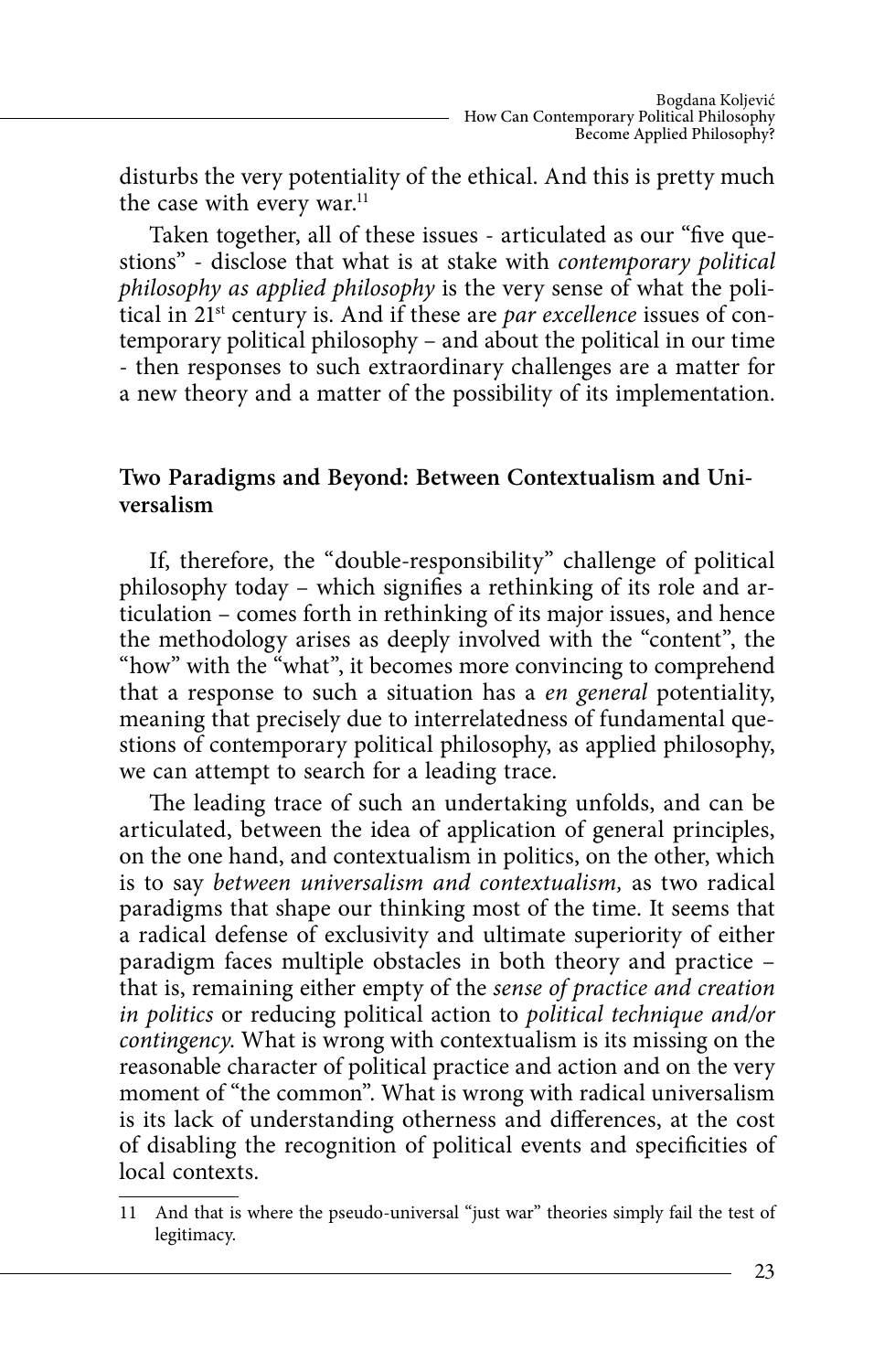disturbs the very potentiality of the ethical. And this is pretty much the case with every war.<sup>11</sup>

Taken together, all of these issues - articulated as our "five questions" - disclose that what is at stake with contemporary political philosophy as applied philosophy is the very sense of what the political in  $21^{st}$  century is. And if these are par excellence issues of contemporary political philosophy – and about the political in our time - then responses to such extraordinary challenges are a matter for a new theory and a matter of the possibility of its implementation.

### **Two Paradigms and Beyond: Between Contextualism and Universalism**

If, therefore, the "double-responsibility" challenge of political philosophy today – which signifies a rethinking of its role and articulation – comes forth in rethinking of its major issues, and hence the methodology arises as deeply involved with the "content", the "how" with the "what", it becomes more convincing to comprehend that a response to such a situation has a en general potentiality, meaning that precisely due to interrelatedness of fundamental questions of contemporary political philosophy, as applied philosophy, we can attempt to search for a leading trace.

The leading trace of such an undertaking unfolds, and can be articulated, between the idea of application of general principles, on the one hand, and contextualism in politics, on the other, which is to say between universalism and contextualism, as two radical paradigms that shape our thinking most of the time. It seems that a radical defense of exclusivity and ultimate superiority of either paradigm faces multiple obstacles in both theory and practice – that is, remaining either empty of the sense of practice and creation in politics or reducing political action to political technique and/or contingency. What is wrong with contextualism is its missing on the reasonable character of political practice and action and on the very moment of "the common". What is wrong with radical universalism is its lack of understanding otherness and differences, at the cost of disabling the recognition of political events and specificities of local contexts.

<sup>11</sup> And that is where the pseudo-universal "just war" theories simply fail the test of legitimacy.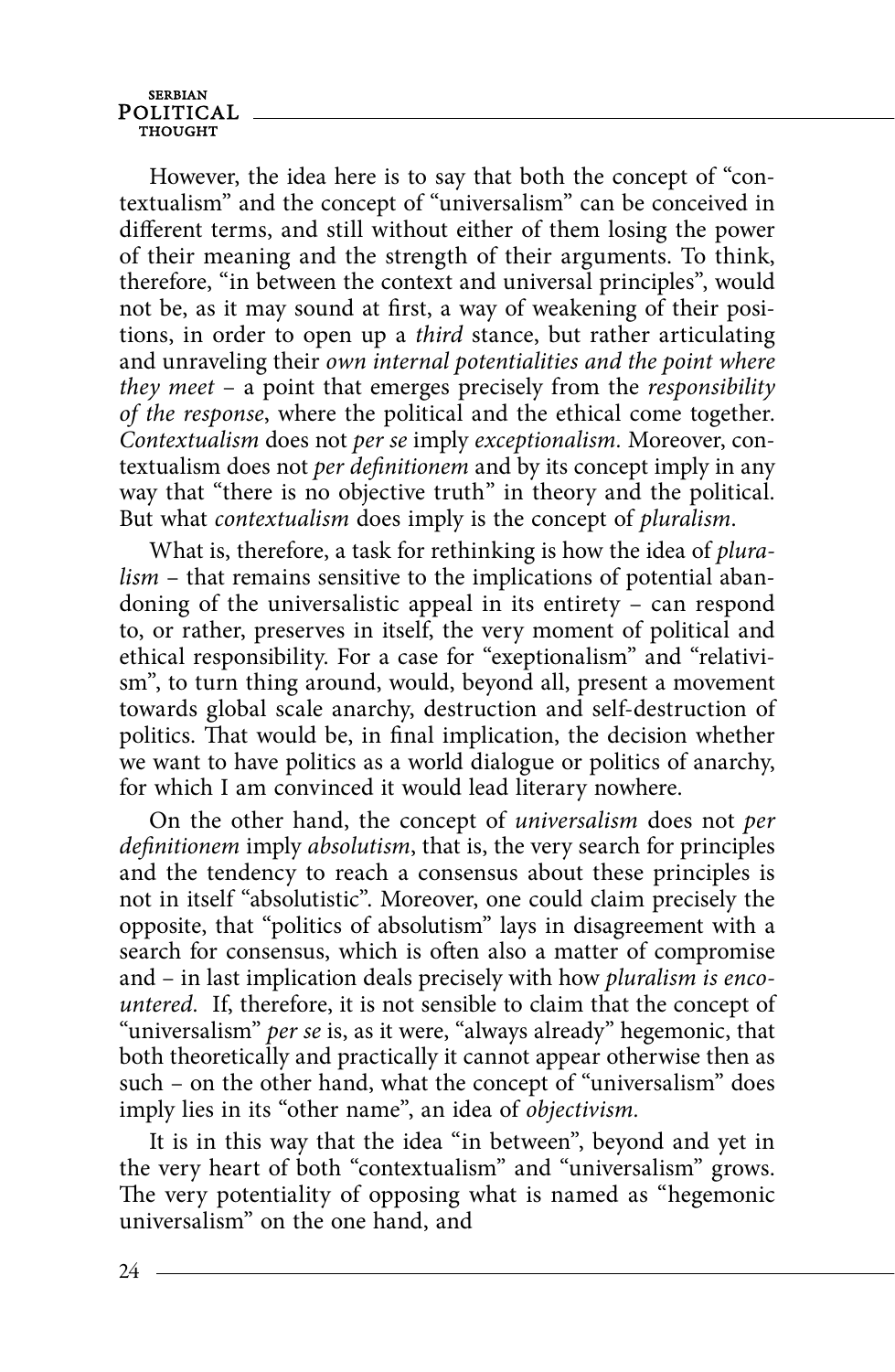However, the idea here is to say that both the concept of "contextualism" and the concept of "universalism" can be conceived in different terms, and still without either of them losing the power of their meaning and the strength of their arguments. To think, therefore, "in between the context and universal principles", would not be, as it may sound at first, a way of weakening of their positions, in order to open up a third stance, but rather articulating and unraveling their own internal potentialities and the point where they meet – a point that emerges precisely from the responsibility of the response, where the political and the ethical come together. Contextualism does not per se imply exceptionalism. Moreover, contextualism does not per definitionem and by its concept imply in any way that "there is no objective truth" in theory and the political. But what contextualism does imply is the concept of pluralism.

What is, therefore, a task for rethinking is how the idea of plura $lism$  – that remains sensitive to the implications of potential abandoning of the universalistic appeal in its entirety – can respond to, or rather, preserves in itself, the very moment of political and ethical responsibility. For a case for "exeptionalism" and "relativism", to turn thing around, would, beyond all, present a movement towards global scale anarchy, destruction and self-destruction of politics. That would be, in final implication, the decision whether we want to have politics as a world dialogue or politics of anarchy, for which I am convinced it would lead literary nowhere.

On the other hand, the concept of universalism does not per  $definitionem$  imply absolutism, that is, the very search for principles and the tendency to reach a consensus about these principles is not in itself "absolutistic". Moreover, one could claim precisely the opposite, that "politics of absolutism" lays in disagreement with a search for consensus, which is often also a matter of compromise and – in last implication deals precisely with how pluralism is encountered. If, therefore, it is not sensible to claim that the concept of "universalism" per se is, as it were, "always already" hegemonic, that both theoretically and practically it cannot appear otherwise then as such – on the other hand, what the concept of "universalism" does imply lies in its "other name", an idea of *objectivism*.

It is in this way that the idea "in between", beyond and yet in the very heart of both "contextualism" and "universalism" grows. The very potentiality of opposing what is named as "hegemonic universalism" on the one hand, and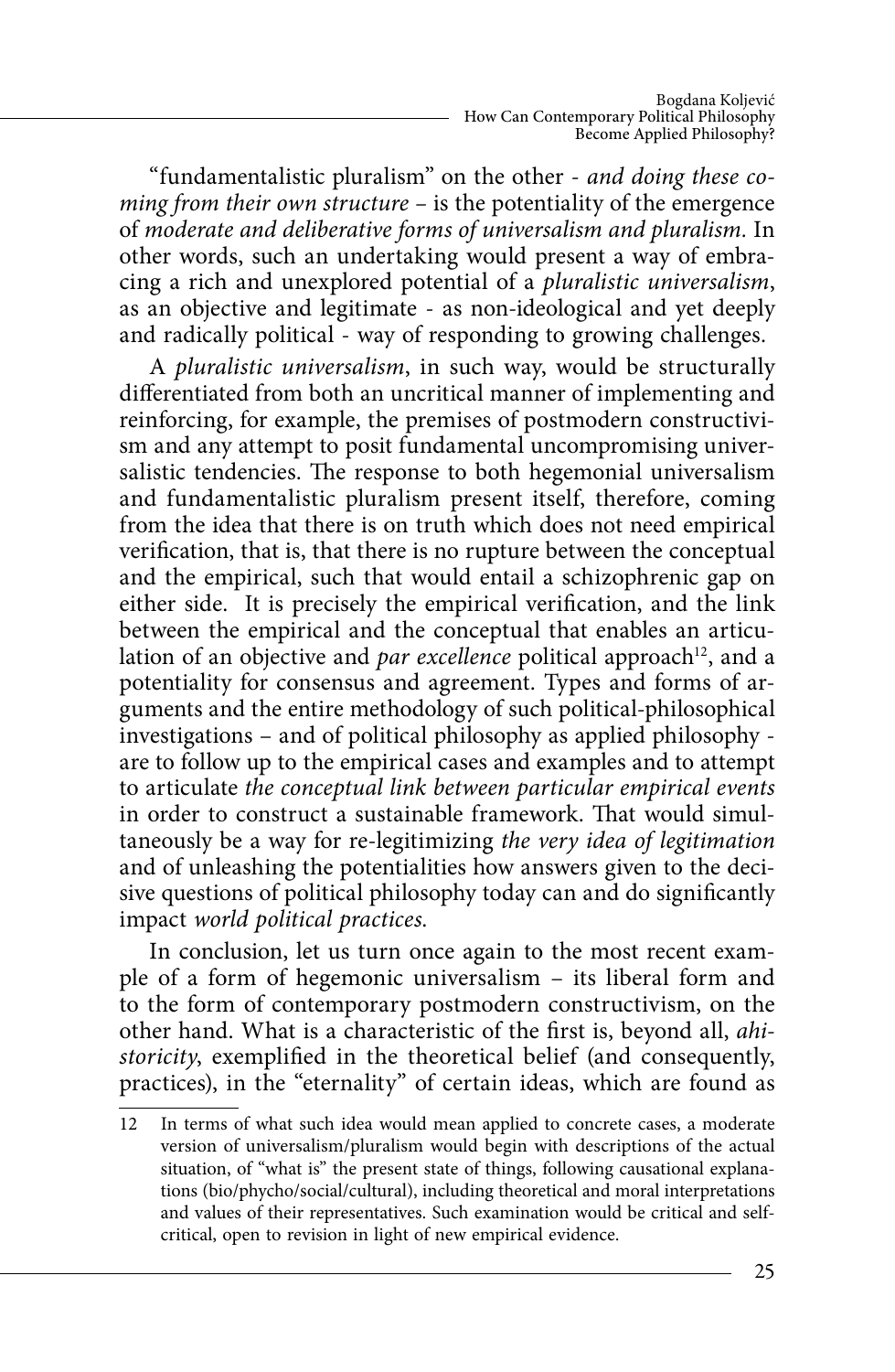"fundamentalistic pluralism" on the other - and doing these coming from their own structure – is the potentiality of the emergence of moderate and deliberative forms of universalism and pluralism. In other words, such an undertaking would present a way of embracing a rich and unexplored potential of a pluralistic universalism, as an objective and legitimate - as non-ideological and yet deeply and radically political - way of responding to growing challenges.

A pluralistic universalism, in such way, would be structurally differentiated from both an uncritical manner of implementing and reinforcing, for example, the premises of postmodern constructivism and any attempt to posit fundamental uncompromising universalistic tendencies. The response to both hegemonial universalism and fundamentalistic pluralism present itself, therefore, coming from the idea that there is on truth which does not need empirical verification, that is, that there is no rupture between the conceptual and the empirical, such that would entail a schizophrenic gap on either side. It is precisely the empirical verification, and the link between the empirical and the conceptual that enables an articulation of an objective and par excellence political approach<sup>12</sup>, and a potentiality for consensus and agreement. Types and forms of arguments and the entire methodology of such political-philosophical investigations – and of political philosophy as applied philosophy are to follow up to the empirical cases and examples and to attempt to articulate the conceptual link between particular empirical events in order to construct a sustainable framework. That would simultaneously be a way for re-legitimizing the very idea of legitimation and of unleashing the potentialities how answers given to the decisive questions of political philosophy today can and do significantly impact world political practices.

In conclusion, let us turn once again to the most recent example of a form of hegemonic universalism – its liberal form and to the form of contemporary postmodern constructivism, on the other hand. What is a characteristic of the first is, beyond all, ahistoricity, exemplified in the theoretical belief (and consequently, practices), in the "eternality" of certain ideas, which are found as

<sup>12</sup> In terms of what such idea would mean applied to concrete cases, a moderate version of universalism/pluralism would begin with descriptions of the actual situation, of "what is" the present state of things, following causational explanations (bio/phycho/social/cultural), including theoretical and moral interpretations and values of their representatives. Such examination would be critical and selfcritical, open to revision in light of new empirical evidence.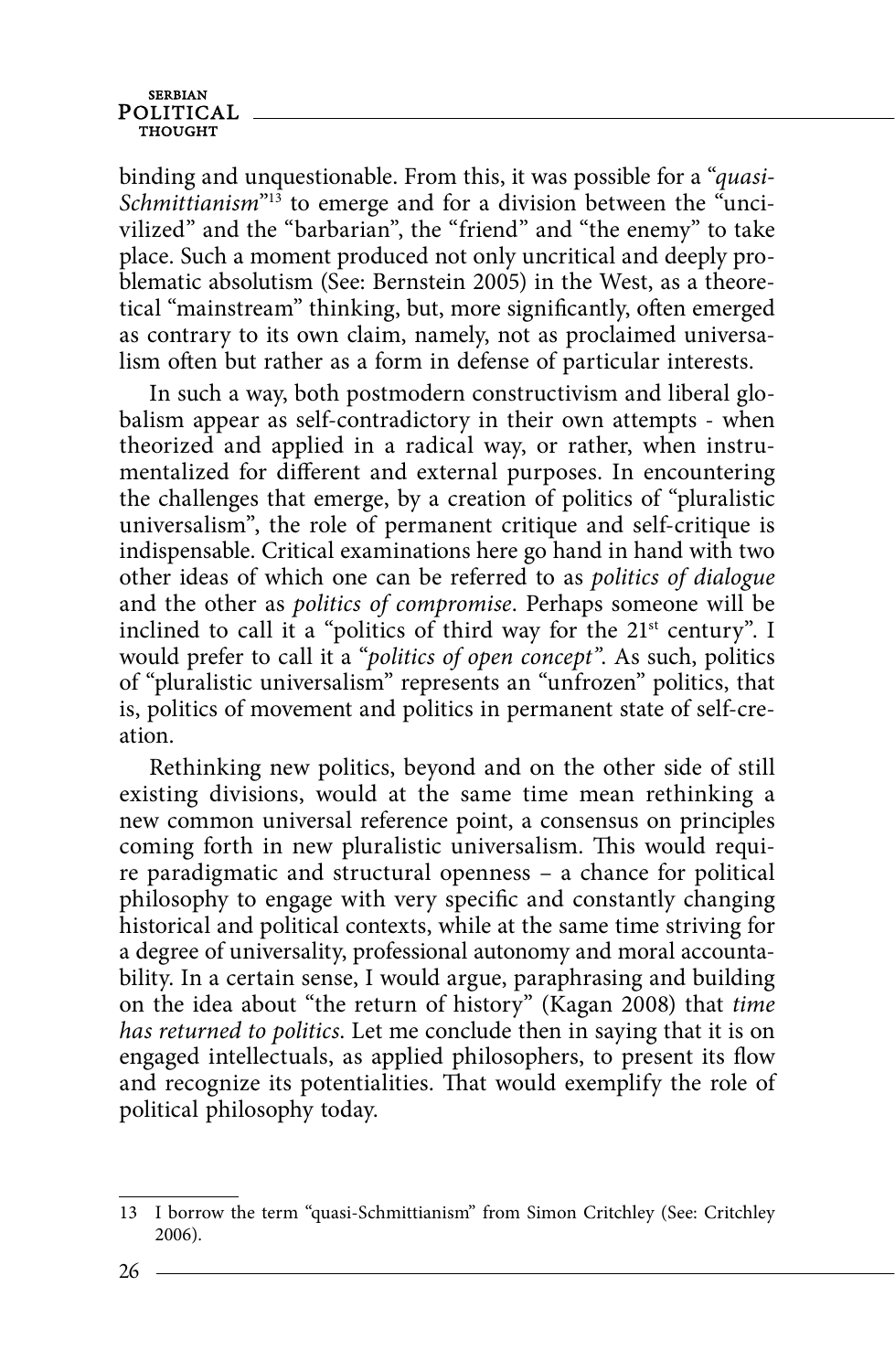binding and unquestionable. From this, it was possible for a "quasi-Schmittianism<sup>"13</sup> to emerge and for a division between the  $\ddot{\text{u}}$ ncivilized" and the "barbarian", the "friend" and "the enemy" to take place. Such a moment produced not only uncritical and deeply problematic absolutism (See: Bernstein 2005) in the West, as a theoretical "mainstream" thinking, but, more significantly, often emerged as contrary to its own claim, namely, not as proclaimed universalism often but rather as a form in defense of particular interests.

In such a way, both postmodern constructivism and liberal globalism appear as self-contradictory in their own attempts - when theorized and applied in a radical way, or rather, when instrumentalized for different and external purposes. In encountering the challenges that emerge, by a creation of politics of "pluralistic universalism", the role of permanent critique and self-critique is indispensable. Critical examinations here go hand in hand with two other ideas of which one can be referred to as politics of dialogue and the other as politics of compromise. Perhaps someone will be inclined to call it a "politics of third way for the 21<sup>st</sup> century". I would prefer to call it a "politics of open concept". As such, politics of "pluralistic universalism" represents an "unfrozen" politics, that is, politics of movement and politics in permanent state of self-creation.

Rethinking new politics, beyond and on the other side of still existing divisions, would at the same time mean rethinking a new common universal reference point, a consensus on principles coming forth in new pluralistic universalism. This would require paradigmatic and structural openness – a chance for political philosophy to engage with very specific and constantly changing historical and political contexts, while at the same time striving for a degree of universality, professional autonomy and moral accountability. In a certain sense, I would argue, paraphrasing and building on the idea about "the return of history" (Kagan 2008) that time has returned to politics. Let me conclude then in saying that it is on engaged intellectuals, as applied philosophers, to present its flow and recognize its potentialities. That would exemplify the role of political philosophy today.

<sup>13</sup> I borrow the term "quasi-Schmittianism" from Simon Critchley (See: Critchley 2006).